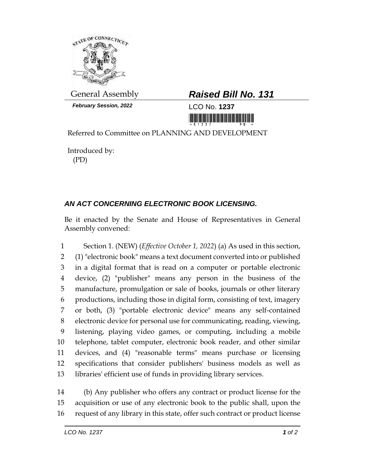

*February Session, 2022* LCO No. **1237**

## General Assembly *Raised Bill No. 131*

<u>ni ini ini ini manamani ini min</u>

Referred to Committee on PLANNING AND DEVELOPMENT

Introduced by: (PD)

## *AN ACT CONCERNING ELECTRONIC BOOK LICENSING.*

Be it enacted by the Senate and House of Representatives in General Assembly convened:

 Section 1. (NEW) (*Effective October 1, 2022*) (a) As used in this section, (1) "electronic book" means a text document converted into or published in a digital format that is read on a computer or portable electronic device, (2) "publisher" means any person in the business of the manufacture, promulgation or sale of books, journals or other literary productions, including those in digital form, consisting of text, imagery or both, (3) "portable electronic device" means any self-contained electronic device for personal use for communicating, reading, viewing, listening, playing video games, or computing, including a mobile telephone, tablet computer, electronic book reader, and other similar devices, and (4) "reasonable terms" means purchase or licensing specifications that consider publishers' business models as well as libraries' efficient use of funds in providing library services.

 (b) Any publisher who offers any contract or product license for the acquisition or use of any electronic book to the public shall, upon the request of any library in this state, offer such contract or product license